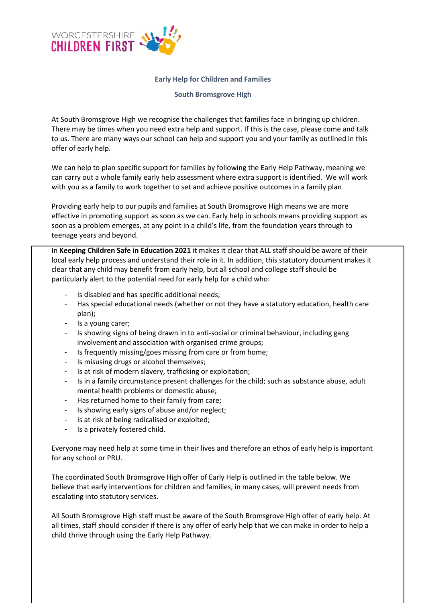

## **Early Help for Children and Families**

## **South Bromsgrove High**

At South Bromsgrove High we recognise the challenges that families face in bringing up children. There may be times when you need extra help and support. If this is the case, please come and talk to us. There are many ways our school can help and support you and your family as outlined in this offer of early help.

We can help to plan specific support for families by following the Early Help Pathway, meaning we can carry out a whole family early help assessment where extra support is identified. We will work with you as a family to work together to set and achieve positive outcomes in a family plan

Providing early help to our pupils and families at South Bromsgrove High means we are more effective in promoting support as soon as we can. Early help in schools means providing support as soon as a problem emerges, at any point in a child's life, from the foundation years through to teenage years and beyond.

In **Keeping Children Safe in Education 2021** it makes it clear that ALL staff should be aware of their local early help process and understand their role in it. In addition, this statutory document makes it clear that any child may benefit from early help, but all school and college staff should be particularly alert to the potential need for early help for a child who:

- Is disabled and has specific additional needs:
- Has special educational needs (whether or not they have a statutory education, health care plan);
- Is a young carer;
- Is showing signs of being drawn in to anti-social or criminal behaviour, including gang involvement and association with organised crime groups;
- Is frequently missing/goes missing from care or from home;
- Is misusing drugs or alcohol themselves;
- Is at risk of modern slavery, trafficking or exploitation;
- Is in a family circumstance present challenges for the child; such as substance abuse, adult mental health problems or domestic abuse;
- Has returned home to their family from care;
- Is showing early signs of abuse and/or neglect;
- Is at risk of being radicalised or exploited;
- Is a privately fostered child.

Everyone may need help at some time in their lives and therefore an ethos of early help is important for any school or PRU.

The coordinated South Bromsgrove High offer of Early Help is outlined in the table below. We believe that early interventions for children and families, in many cases, will prevent needs from escalating into statutory services.

All South Bromsgrove High staff must be aware of the South Bromsgrove High offer of early help. At all times, staff should consider if there is any offer of early help that we can make in order to help a child thrive through using the Early Help Pathway.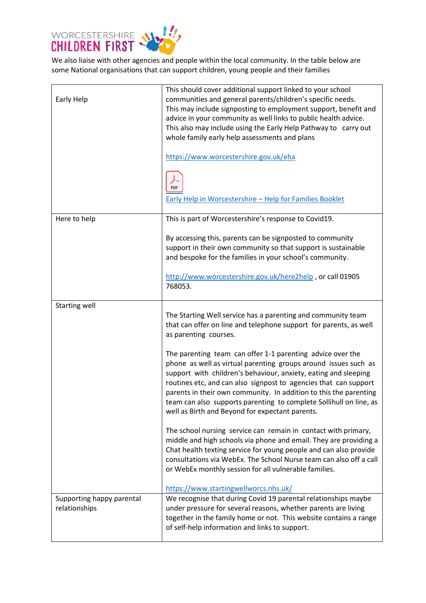

We also liaise with other agencies and people within the local community. In the table below are some National organisations that can support children, young people and their families

| Early Help                                 | This should cover additional support linked to your school<br>communities and general parents/children's specific needs.<br>This may include signposting to employment support, benefit and<br>advice in your community as well links to public health advice.<br>This also may include using the Early Help Pathway to carry out<br>whole family early help assessments and plans<br>https://www.worcestershire.gov.uk/eha                                        |
|--------------------------------------------|--------------------------------------------------------------------------------------------------------------------------------------------------------------------------------------------------------------------------------------------------------------------------------------------------------------------------------------------------------------------------------------------------------------------------------------------------------------------|
|                                            | PDF<br>Early Help in Worcestershire - Help for Families Booklet                                                                                                                                                                                                                                                                                                                                                                                                    |
| Here to help                               | This is part of Worcestershire's response to Covid19.                                                                                                                                                                                                                                                                                                                                                                                                              |
|                                            | By accessing this, parents can be signposted to community<br>support in their own community so that support is sustainable<br>and bespoke for the families in your school's community.                                                                                                                                                                                                                                                                             |
|                                            | http://www.worcestershire.gov.uk/here2help, or call 01905<br>768053.                                                                                                                                                                                                                                                                                                                                                                                               |
| <b>Starting well</b>                       | The Starting Well service has a parenting and community team<br>that can offer on line and telephone support for parents, as well<br>as parenting courses.                                                                                                                                                                                                                                                                                                         |
|                                            | The parenting team can offer 1-1 parenting advice over the<br>phone as well as virtual parenting groups around issues such as<br>support with children's behaviour, anxiety, eating and sleeping<br>routines etc, and can also signpost to agencies that can support<br>parents in their own community. In addition to this the parenting<br>team can also supports parenting to complete Sollihull on line, as<br>well as Birth and Beyond for expectant parents. |
|                                            | The school nursing service can remain in contact with primary,<br>middle and high schools via phone and email. They are providing a<br>Chat health texting service for young people and can also provide<br>consultations via WebEx. The School Nurse team can also off a call<br>or WebEx monthly session for all vulnerable families.<br>https://www.startingwellworcs.nhs.uk/                                                                                   |
| Supporting happy parental<br>relationships | We recognise that during Covid 19 parental relationships maybe<br>under pressure for several reasons, whether parents are living<br>together in the family home or not. This website contains a range<br>of self-help information and links to support.                                                                                                                                                                                                            |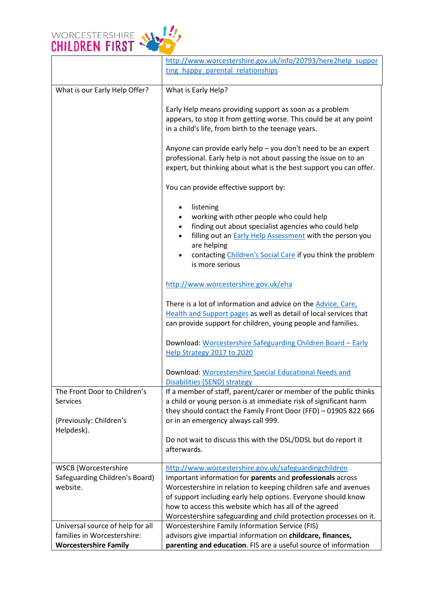

|                                                                            | http://www.worcestershire.gov.uk/info/20793/here2help suppor<br>ting happy parental relationships                                                                                                                                                                                                          |
|----------------------------------------------------------------------------|------------------------------------------------------------------------------------------------------------------------------------------------------------------------------------------------------------------------------------------------------------------------------------------------------------|
| What is our Early Help Offer?                                              | What is Early Help?                                                                                                                                                                                                                                                                                        |
|                                                                            | Early Help means providing support as soon as a problem<br>appears, to stop it from getting worse. This could be at any point<br>in a child's life, from birth to the teenage years.                                                                                                                       |
|                                                                            | Anyone can provide early help - you don't need to be an expert<br>professional. Early help is not about passing the issue on to an<br>expert, but thinking about what is the best support you can offer.                                                                                                   |
|                                                                            | You can provide effective support by:                                                                                                                                                                                                                                                                      |
|                                                                            | listening<br>working with other people who could help<br>finding out about specialist agencies who could help<br>$\bullet$<br>filling out an <b>Early Help Assessment</b> with the person you<br>$\bullet$<br>are helping<br>contacting Children's Social Care if you think the problem<br>is more serious |
|                                                                            | http://www.worcestershire.gov.uk/eha                                                                                                                                                                                                                                                                       |
|                                                                            | There is a lot of information and advice on the Advice, Care,<br>Health and Support pages as well as detail of local services that<br>can provide support for children, young people and families.                                                                                                         |
|                                                                            | Download: Worcestershire Safeguarding Children Board - Early<br>Help Strategy 2017 to 2020                                                                                                                                                                                                                 |
|                                                                            | Download: Worcestershire Special Educational Needs and<br><b>Disabilities (SEND) strategy</b>                                                                                                                                                                                                              |
| The Front Door to Children's<br><b>Services</b><br>(Previously: Children's | If a member of staff, parent/carer or member of the public thinks<br>a child or young person is at immediate risk of significant harm<br>they should contact the Family Front Door (FFD) - 01905 822 666<br>or in an emergency always call 999.                                                            |
| Helpdesk).                                                                 | Do not wait to discuss this with the DSL/DDSL but do report it<br>afterwards.                                                                                                                                                                                                                              |
| <b>WSCB</b> (Worcestershire                                                | http://www.worcestershire.gov.uk/safeguardingchildren                                                                                                                                                                                                                                                      |
| Safeguarding Children's Board)<br>website.                                 | Important information for parents and professionals across<br>Worcestershire in relation to keeping children safe and avenues                                                                                                                                                                              |
|                                                                            | of support including early help options. Everyone should know                                                                                                                                                                                                                                              |
|                                                                            | how to access this website which has all of the agreed                                                                                                                                                                                                                                                     |
|                                                                            | Worcestershire safeguarding and child protection processes on it.                                                                                                                                                                                                                                          |
| Universal source of help for all                                           | Worcestershire Family Information Service (FIS)                                                                                                                                                                                                                                                            |
| families in Worcestershire:<br><b>Worcestershire Family</b>                | advisors give impartial information on childcare, finances,<br>parenting and education. FIS are a useful source of information                                                                                                                                                                             |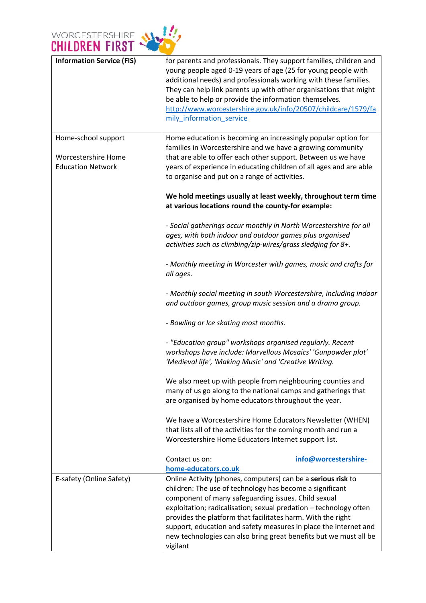

| <b>Information Service (FIS)</b>                                       | for parents and professionals. They support families, children and<br>young people aged 0-19 years of age (25 for young people with<br>additional needs) and professionals working with these families.<br>They can help link parents up with other organisations that might<br>be able to help or provide the information themselves.<br>http://www.worcestershire.gov.uk/info/20507/childcare/1579/fa<br>mily_information_service                                      |
|------------------------------------------------------------------------|--------------------------------------------------------------------------------------------------------------------------------------------------------------------------------------------------------------------------------------------------------------------------------------------------------------------------------------------------------------------------------------------------------------------------------------------------------------------------|
| Home-school support<br>Worcestershire Home<br><b>Education Network</b> | Home education is becoming an increasingly popular option for<br>families in Worcestershire and we have a growing community<br>that are able to offer each other support. Between us we have<br>years of experience in educating children of all ages and are able<br>to organise and put on a range of activities.                                                                                                                                                      |
|                                                                        | We hold meetings usually at least weekly, throughout term time<br>at various locations round the county-for example:                                                                                                                                                                                                                                                                                                                                                     |
|                                                                        | - Social gatherings occur monthly in North Worcestershire for all<br>ages, with both indoor and outdoor games plus organised<br>activities such as climbing/zip-wires/grass sledging for 8+.                                                                                                                                                                                                                                                                             |
|                                                                        | - Monthly meeting in Worcester with games, music and crafts for<br>all ages.                                                                                                                                                                                                                                                                                                                                                                                             |
|                                                                        | - Monthly social meeting in south Worcestershire, including indoor<br>and outdoor games, group music session and a drama group.                                                                                                                                                                                                                                                                                                                                          |
|                                                                        | - Bowling or Ice skating most months.                                                                                                                                                                                                                                                                                                                                                                                                                                    |
|                                                                        | - "Education group" workshops organised regularly. Recent<br>workshops have include: Marvellous Mosaics' 'Gunpowder plot'<br>'Medieval life', 'Making Music' and 'Creative Writing.                                                                                                                                                                                                                                                                                      |
|                                                                        | We also meet up with people from neighbouring counties and<br>many of us go along to the national camps and gatherings that<br>are organised by home educators throughout the year.                                                                                                                                                                                                                                                                                      |
|                                                                        | We have a Worcestershire Home Educators Newsletter (WHEN)<br>that lists all of the activities for the coming month and run a<br>Worcestershire Home Educators Internet support list.                                                                                                                                                                                                                                                                                     |
|                                                                        | Contact us on:<br>info@worcestershire-<br>home-educators.co.uk                                                                                                                                                                                                                                                                                                                                                                                                           |
| E-safety (Online Safety)                                               | Online Activity (phones, computers) can be a serious risk to<br>children: The use of technology has become a significant<br>component of many safeguarding issues. Child sexual<br>exploitation; radicalisation; sexual predation - technology often<br>provides the platform that facilitates harm. With the right<br>support, education and safety measures in place the internet and<br>new technologies can also bring great benefits but we must all be<br>vigilant |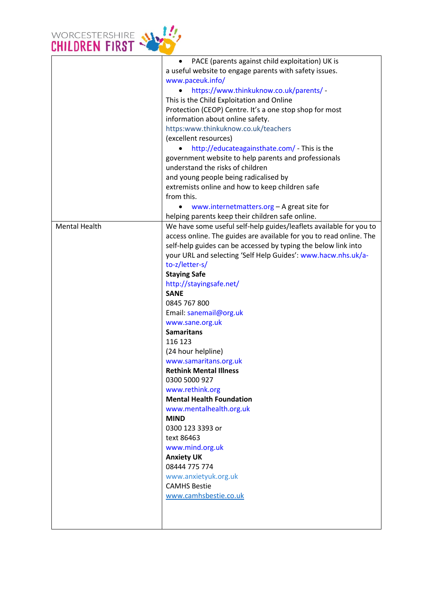

|                      | PACE (parents against child exploitation) UK is                     |
|----------------------|---------------------------------------------------------------------|
|                      | a useful website to engage parents with safety issues.              |
|                      | www.paceuk.info/                                                    |
|                      | https://www.thinkuknow.co.uk/parents/ -                             |
|                      | This is the Child Exploitation and Online                           |
|                      | Protection (CEOP) Centre. It's a one stop shop for most             |
|                      | information about online safety.                                    |
|                      | https:www.thinkuknow.co.uk/teachers                                 |
|                      | (excellent resources)                                               |
|                      | http://educateagainsthate.com/ - This is the                        |
|                      | government website to help parents and professionals                |
|                      | understand the risks of children                                    |
|                      |                                                                     |
|                      | and young people being radicalised by                               |
|                      | extremists online and how to keep children safe                     |
|                      | from this.                                                          |
|                      | www.internetmatters.org - A great site for                          |
|                      | helping parents keep their children safe online.                    |
| <b>Mental Health</b> | We have some useful self-help guides/leaflets available for you to  |
|                      | access online. The guides are available for you to read online. The |
|                      | self-help guides can be accessed by typing the below link into      |
|                      | your URL and selecting 'Self Help Guides': www.hacw.nhs.uk/a-       |
|                      | to-z/letter-s/                                                      |
|                      | <b>Staying Safe</b>                                                 |
|                      | http://stayingsafe.net/                                             |
|                      | <b>SANE</b>                                                         |
|                      | 0845 767 800                                                        |
|                      | Email: sanemail@org.uk                                              |
|                      | www.sane.org.uk                                                     |
|                      | <b>Samaritans</b>                                                   |
|                      | 116 123                                                             |
|                      | (24 hour helpline)                                                  |
|                      | www.samaritans.org.uk                                               |
|                      | <b>Rethink Mental Illness</b>                                       |
|                      | 0300 5000 927                                                       |
|                      | www.rethink.org                                                     |
|                      | <b>Mental Health Foundation</b>                                     |
|                      | www.mentalhealth.org.uk                                             |
|                      | <b>MIND</b>                                                         |
|                      | 0300 123 3393 or                                                    |
|                      |                                                                     |
|                      | text 86463                                                          |
|                      | www.mind.org.uk                                                     |
|                      | <b>Anxiety UK</b>                                                   |
|                      | 08444 775 774                                                       |
|                      | www.anxietyuk.org.uk                                                |
|                      | <b>CAMHS Bestie</b>                                                 |
|                      | www.camhsbestie.co.uk                                               |
|                      |                                                                     |
|                      |                                                                     |
|                      |                                                                     |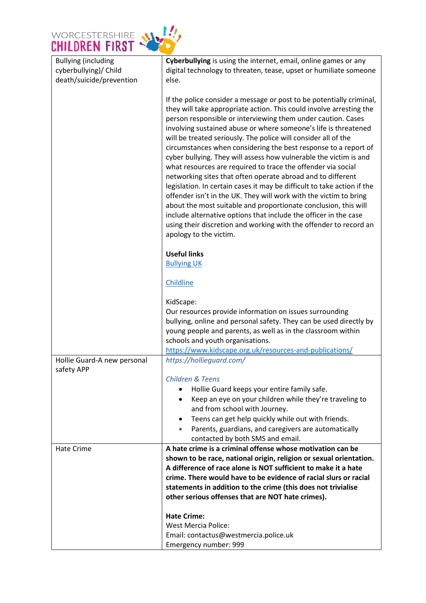

| <b>Bullying (including</b>                | Cyberbullying is using the internet, email, online games or any                                                                                                                                                                                                                                                                                                                                                                                                                                                                                                                                                                                                                                                                                                                                                                                                                                                                                                                     |
|-------------------------------------------|-------------------------------------------------------------------------------------------------------------------------------------------------------------------------------------------------------------------------------------------------------------------------------------------------------------------------------------------------------------------------------------------------------------------------------------------------------------------------------------------------------------------------------------------------------------------------------------------------------------------------------------------------------------------------------------------------------------------------------------------------------------------------------------------------------------------------------------------------------------------------------------------------------------------------------------------------------------------------------------|
| cyberbullying)/ Child                     | digital technology to threaten, tease, upset or humiliate someone                                                                                                                                                                                                                                                                                                                                                                                                                                                                                                                                                                                                                                                                                                                                                                                                                                                                                                                   |
| death/suicide/prevention                  | else.                                                                                                                                                                                                                                                                                                                                                                                                                                                                                                                                                                                                                                                                                                                                                                                                                                                                                                                                                                               |
|                                           |                                                                                                                                                                                                                                                                                                                                                                                                                                                                                                                                                                                                                                                                                                                                                                                                                                                                                                                                                                                     |
|                                           | If the police consider a message or post to be potentially criminal,<br>they will take appropriate action. This could involve arresting the<br>person responsible or interviewing them under caution. Cases<br>involving sustained abuse or where someone's life is threatened<br>will be treated seriously. The police will consider all of the<br>circumstances when considering the best response to a report of<br>cyber bullying. They will assess how vulnerable the victim is and<br>what resources are required to trace the offender via social<br>networking sites that often operate abroad and to different<br>legislation. In certain cases it may be difficult to take action if the<br>offender isn't in the UK. They will work with the victim to bring<br>about the most suitable and proportionate conclusion, this will<br>include alternative options that include the officer in the case<br>using their discretion and working with the offender to record an |
|                                           | apology to the victim.                                                                                                                                                                                                                                                                                                                                                                                                                                                                                                                                                                                                                                                                                                                                                                                                                                                                                                                                                              |
|                                           |                                                                                                                                                                                                                                                                                                                                                                                                                                                                                                                                                                                                                                                                                                                                                                                                                                                                                                                                                                                     |
|                                           | <b>Useful links</b>                                                                                                                                                                                                                                                                                                                                                                                                                                                                                                                                                                                                                                                                                                                                                                                                                                                                                                                                                                 |
|                                           | <b>Bullying UK</b>                                                                                                                                                                                                                                                                                                                                                                                                                                                                                                                                                                                                                                                                                                                                                                                                                                                                                                                                                                  |
|                                           | Childline                                                                                                                                                                                                                                                                                                                                                                                                                                                                                                                                                                                                                                                                                                                                                                                                                                                                                                                                                                           |
|                                           | KidScape:                                                                                                                                                                                                                                                                                                                                                                                                                                                                                                                                                                                                                                                                                                                                                                                                                                                                                                                                                                           |
|                                           | Our resources provide information on issues surrounding                                                                                                                                                                                                                                                                                                                                                                                                                                                                                                                                                                                                                                                                                                                                                                                                                                                                                                                             |
|                                           | bullying, online and personal safety. They can be used directly by                                                                                                                                                                                                                                                                                                                                                                                                                                                                                                                                                                                                                                                                                                                                                                                                                                                                                                                  |
|                                           | young people and parents, as well as in the classroom within                                                                                                                                                                                                                                                                                                                                                                                                                                                                                                                                                                                                                                                                                                                                                                                                                                                                                                                        |
|                                           | schools and youth organisations.                                                                                                                                                                                                                                                                                                                                                                                                                                                                                                                                                                                                                                                                                                                                                                                                                                                                                                                                                    |
|                                           | https://www.kidscape.org.uk/resources-and-publications/                                                                                                                                                                                                                                                                                                                                                                                                                                                                                                                                                                                                                                                                                                                                                                                                                                                                                                                             |
| Hollie Guard-A new personal<br>safety APP | https://hollieguard.com/                                                                                                                                                                                                                                                                                                                                                                                                                                                                                                                                                                                                                                                                                                                                                                                                                                                                                                                                                            |
|                                           | <b>Children &amp; Teens</b>                                                                                                                                                                                                                                                                                                                                                                                                                                                                                                                                                                                                                                                                                                                                                                                                                                                                                                                                                         |
|                                           | Hollie Guard keeps your entire family safe.                                                                                                                                                                                                                                                                                                                                                                                                                                                                                                                                                                                                                                                                                                                                                                                                                                                                                                                                         |
|                                           | Keep an eye on your children while they're traveling to<br>$\bullet$                                                                                                                                                                                                                                                                                                                                                                                                                                                                                                                                                                                                                                                                                                                                                                                                                                                                                                                |
|                                           | and from school with Journey.                                                                                                                                                                                                                                                                                                                                                                                                                                                                                                                                                                                                                                                                                                                                                                                                                                                                                                                                                       |
|                                           | Teens can get help quickly while out with friends.<br>٠                                                                                                                                                                                                                                                                                                                                                                                                                                                                                                                                                                                                                                                                                                                                                                                                                                                                                                                             |
|                                           | Parents, guardians, and caregivers are automatically<br>$\bullet$                                                                                                                                                                                                                                                                                                                                                                                                                                                                                                                                                                                                                                                                                                                                                                                                                                                                                                                   |
|                                           | contacted by both SMS and email.                                                                                                                                                                                                                                                                                                                                                                                                                                                                                                                                                                                                                                                                                                                                                                                                                                                                                                                                                    |
| Hate Crime                                | A hate crime is a criminal offense whose motivation can be<br>shown to be race, national origin, religion or sexual orientation.                                                                                                                                                                                                                                                                                                                                                                                                                                                                                                                                                                                                                                                                                                                                                                                                                                                    |
|                                           | A difference of race alone is NOT sufficient to make it a hate                                                                                                                                                                                                                                                                                                                                                                                                                                                                                                                                                                                                                                                                                                                                                                                                                                                                                                                      |
|                                           | crime. There would have to be evidence of racial slurs or racial                                                                                                                                                                                                                                                                                                                                                                                                                                                                                                                                                                                                                                                                                                                                                                                                                                                                                                                    |
|                                           | statements in addition to the crime (this does not trivialise                                                                                                                                                                                                                                                                                                                                                                                                                                                                                                                                                                                                                                                                                                                                                                                                                                                                                                                       |
|                                           | other serious offenses that are NOT hate crimes).                                                                                                                                                                                                                                                                                                                                                                                                                                                                                                                                                                                                                                                                                                                                                                                                                                                                                                                                   |
|                                           | <b>Hate Crime:</b>                                                                                                                                                                                                                                                                                                                                                                                                                                                                                                                                                                                                                                                                                                                                                                                                                                                                                                                                                                  |
|                                           | <b>West Mercia Police:</b>                                                                                                                                                                                                                                                                                                                                                                                                                                                                                                                                                                                                                                                                                                                                                                                                                                                                                                                                                          |
|                                           | Email: contactus@westmercia.police.uk                                                                                                                                                                                                                                                                                                                                                                                                                                                                                                                                                                                                                                                                                                                                                                                                                                                                                                                                               |
|                                           | Emergency number: 999                                                                                                                                                                                                                                                                                                                                                                                                                                                                                                                                                                                                                                                                                                                                                                                                                                                                                                                                                               |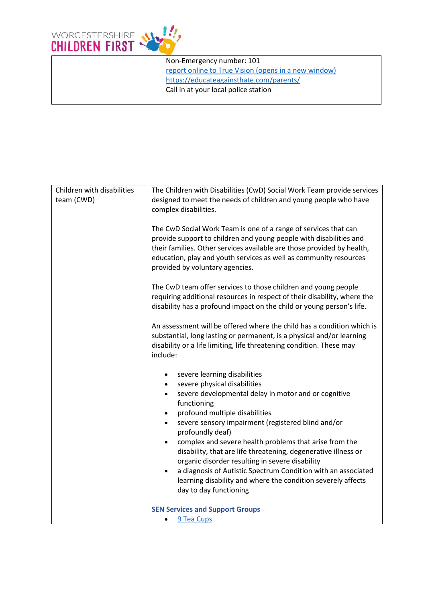

| Non-Emergency number: 101                            |
|------------------------------------------------------|
| report online to True Vision (opens in a new window) |
| https://educateagainsthate.com/parents/              |
| Call in at your local police station                 |
|                                                      |

| Children with disabilities<br>team (CWD) | The Children with Disabilities (CwD) Social Work Team provide services<br>designed to meet the needs of children and young people who have                                                                                                                                                                              |  |  |
|------------------------------------------|-------------------------------------------------------------------------------------------------------------------------------------------------------------------------------------------------------------------------------------------------------------------------------------------------------------------------|--|--|
|                                          | complex disabilities.                                                                                                                                                                                                                                                                                                   |  |  |
|                                          | The CwD Social Work Team is one of a range of services that can<br>provide support to children and young people with disabilities and<br>their families. Other services available are those provided by health,<br>education, play and youth services as well as community resources<br>provided by voluntary agencies. |  |  |
|                                          | The CwD team offer services to those children and young people<br>requiring additional resources in respect of their disability, where the<br>disability has a profound impact on the child or young person's life.                                                                                                     |  |  |
|                                          | An assessment will be offered where the child has a condition which is<br>substantial, long lasting or permanent, is a physical and/or learning<br>disability or a life limiting, life threatening condition. These may<br>include:                                                                                     |  |  |
|                                          | severe learning disabilities<br>$\bullet$                                                                                                                                                                                                                                                                               |  |  |
|                                          | severe physical disabilities<br>$\bullet$<br>severe developmental delay in motor and or cognitive<br>$\bullet$                                                                                                                                                                                                          |  |  |
|                                          | functioning                                                                                                                                                                                                                                                                                                             |  |  |
|                                          | profound multiple disabilities<br>$\bullet$                                                                                                                                                                                                                                                                             |  |  |
|                                          | severe sensory impairment (registered blind and/or<br>$\bullet$<br>profoundly deaf)                                                                                                                                                                                                                                     |  |  |
|                                          | complex and severe health problems that arise from the<br>$\bullet$                                                                                                                                                                                                                                                     |  |  |
|                                          | disability, that are life threatening, degenerative illness or                                                                                                                                                                                                                                                          |  |  |
|                                          | organic disorder resulting in severe disability                                                                                                                                                                                                                                                                         |  |  |
|                                          | a diagnosis of Autistic Spectrum Condition with an associated<br>learning disability and where the condition severely affects                                                                                                                                                                                           |  |  |
|                                          | day to day functioning                                                                                                                                                                                                                                                                                                  |  |  |
|                                          | <b>SEN Services and Support Groups</b>                                                                                                                                                                                                                                                                                  |  |  |
|                                          | 9 Tea Cups<br>$\bullet$                                                                                                                                                                                                                                                                                                 |  |  |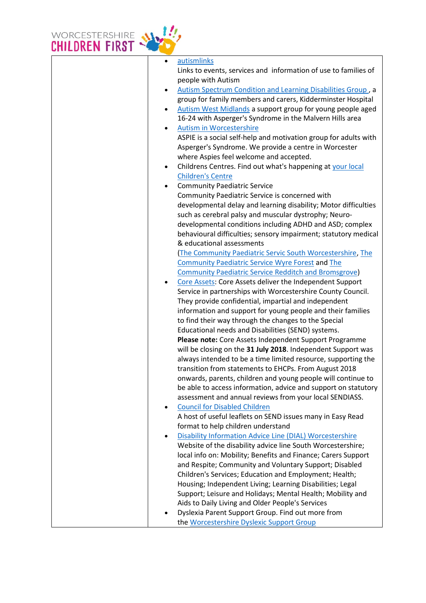

| $\bullet$ | autismlinks                                                      |
|-----------|------------------------------------------------------------------|
|           | Links to events, services and information of use to families of  |
|           | people with Autism                                               |
| ٠         | Autism Spectrum Condition and Learning Disabilities Group, a     |
|           | group for family members and carers, Kidderminster Hospital      |
| $\bullet$ | Autism West Midlands a support group for young people aged       |
|           | 16-24 with Asperger's Syndrome in the Malvern Hills area         |
| $\bullet$ | <b>Autism in Worcestershire</b>                                  |
|           | ASPIE is a social self-help and motivation group for adults with |
|           | Asperger's Syndrome. We provide a centre in Worcester            |
|           | where Aspies feel welcome and accepted.                          |
| $\bullet$ | Childrens Centres. Find out what's happening at your local       |
|           | <b>Children's Centre</b>                                         |
| $\bullet$ | <b>Community Paediatric Service</b>                              |
|           | Community Paediatric Service is concerned with                   |
|           | developmental delay and learning disability; Motor difficulties  |
|           | such as cerebral palsy and muscular dystrophy; Neuro-            |
|           | developmental conditions including ADHD and ASD; complex         |
|           | behavioural difficulties; sensory impairment; statutory medical  |
|           | & educational assessments                                        |
|           | The Community Paediatric Servic South Worcestershire, The        |
|           | <b>Community Paediatric Service Wyre Forest and The</b>          |
|           | <b>Community Paediatric Service Redditch and Bromsgrove</b>      |
| $\bullet$ | Core Assets: Core Assets deliver the Independent Support         |
|           | Service in partnerships with Worcestershire County Council.      |
|           | They provide confidential, impartial and independent             |
|           | information and support for young people and their families      |
|           | to find their way through the changes to the Special             |
|           | Educational needs and Disabilities (SEND) systems.               |
|           | Please note: Core Assets Independent Support Programme           |
|           | will be closing on the 31 July 2018. Independent Support was     |
|           | always intended to be a time limited resource, supporting the    |
|           | transition from statements to EHCPs. From August 2018            |
|           | onwards, parents, children and young people will continue to     |
|           | be able to access information, advice and support on statutory   |
|           | assessment and annual reviews from your local SENDIASS.          |
| ٠         | <b>Council for Disabled Children</b>                             |
|           | A host of useful leaflets on SEND issues many in Easy Read       |
|           | format to help children understand                               |
|           | Disability Information Advice Line (DIAL) Worcestershire         |
|           | Website of the disability advice line South Worcestershire;      |
|           | local info on: Mobility; Benefits and Finance; Carers Support    |
|           | and Respite; Community and Voluntary Support; Disabled           |
|           | Children's Services; Education and Employment; Health;           |
|           | Housing; Independent Living; Learning Disabilities; Legal        |
|           | Support; Leisure and Holidays; Mental Health; Mobility and       |
|           | Aids to Daily Living and Older People's Services                 |
|           | Dyslexia Parent Support Group. Find out more from                |
|           | the Worcestershire Dyslexic Support Group                        |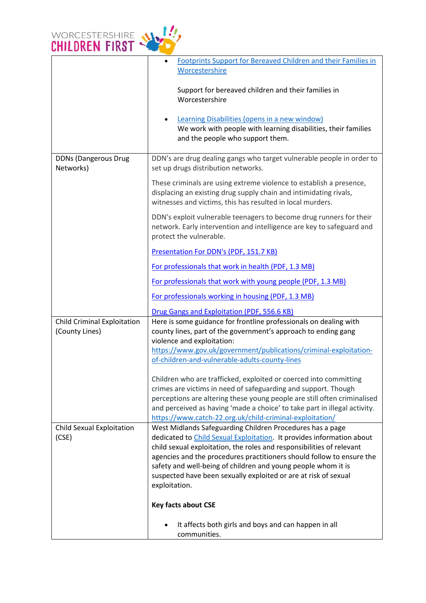

|                                                      | Footprints Support for Bereaved Children and their Families in<br>Worcestershire                                                                                                                                                                                                                                                                                                                                                          |
|------------------------------------------------------|-------------------------------------------------------------------------------------------------------------------------------------------------------------------------------------------------------------------------------------------------------------------------------------------------------------------------------------------------------------------------------------------------------------------------------------------|
|                                                      | Support for bereaved children and their families in<br>Worcestershire                                                                                                                                                                                                                                                                                                                                                                     |
|                                                      | Learning Disabilities (opens in a new window)<br>We work with people with learning disabilities, their families<br>and the people who support them.                                                                                                                                                                                                                                                                                       |
| <b>DDNs (Dangerous Drug</b><br>Networks)             | DDN's are drug dealing gangs who target vulnerable people in order to<br>set up drugs distribution networks.                                                                                                                                                                                                                                                                                                                              |
|                                                      | These criminals are using extreme violence to establish a presence,<br>displacing an existing drug supply chain and intimidating rivals,<br>witnesses and victims, this has resulted in local murders.                                                                                                                                                                                                                                    |
|                                                      | DDN's exploit vulnerable teenagers to become drug runners for their<br>network. Early intervention and intelligence are key to safeguard and<br>protect the vulnerable.                                                                                                                                                                                                                                                                   |
|                                                      | Presentation For DDN's (PDF, 151.7 KB)                                                                                                                                                                                                                                                                                                                                                                                                    |
|                                                      | For professionals that work in health (PDF, 1.3 MB)                                                                                                                                                                                                                                                                                                                                                                                       |
|                                                      | For professionals that work with young people (PDF, 1.3 MB)                                                                                                                                                                                                                                                                                                                                                                               |
|                                                      | For professionals working in housing (PDF, 1.3 MB)                                                                                                                                                                                                                                                                                                                                                                                        |
|                                                      | Drug Gangs and Exploitation (PDF, 556.6 KB)                                                                                                                                                                                                                                                                                                                                                                                               |
| <b>Child Criminal Exploitation</b><br>(County Lines) | Here is some guidance for frontline professionals on dealing with<br>county lines, part of the government's approach to ending gang<br>violence and exploitation:                                                                                                                                                                                                                                                                         |
|                                                      | https://www.gov.uk/government/publications/criminal-exploitation-<br>of-children-and-vulnerable-adults-county-lines                                                                                                                                                                                                                                                                                                                       |
|                                                      | Children who are trafficked, exploited or coerced into committing<br>crimes are victims in need of safeguarding and support. Though<br>perceptions are altering these young people are still often criminalised<br>and perceived as having 'made a choice' to take part in illegal activity.<br>https://www.catch-22.org.uk/child-criminal-exploitation/                                                                                  |
| Child Sexual Exploitation<br>(CSE)                   | West Midlands Safeguarding Children Procedures has a page<br>dedicated to Child Sexual Exploitation. It provides information about<br>child sexual exploitation, the roles and responsibilities of relevant<br>agencies and the procedures practitioners should follow to ensure the<br>safety and well-being of children and young people whom it is<br>suspected have been sexually exploited or are at risk of sexual<br>exploitation. |
|                                                      | <b>Key facts about CSE</b>                                                                                                                                                                                                                                                                                                                                                                                                                |
|                                                      | It affects both girls and boys and can happen in all<br>communities.                                                                                                                                                                                                                                                                                                                                                                      |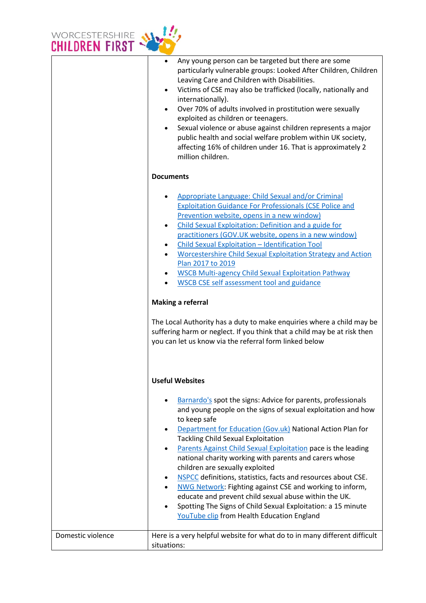

|                   | Any young person can be targeted but there are some<br>$\bullet$<br>particularly vulnerable groups: Looked After Children, Children<br>Leaving Care and Children with Disabilities.<br>Victims of CSE may also be trafficked (locally, nationally and<br>internationally).<br>Over 70% of adults involved in prostitution were sexually<br>exploited as children or teenagers.<br>Sexual violence or abuse against children represents a major<br>$\bullet$<br>public health and social welfare problem within UK society,<br>affecting 16% of children under 16. That is approximately 2<br>million children.                                                                                                                                           |
|-------------------|----------------------------------------------------------------------------------------------------------------------------------------------------------------------------------------------------------------------------------------------------------------------------------------------------------------------------------------------------------------------------------------------------------------------------------------------------------------------------------------------------------------------------------------------------------------------------------------------------------------------------------------------------------------------------------------------------------------------------------------------------------|
|                   | <b>Documents</b>                                                                                                                                                                                                                                                                                                                                                                                                                                                                                                                                                                                                                                                                                                                                         |
|                   | Appropriate Language: Child Sexual and/or Criminal<br><b>Exploitation Guidance For Professionals (CSE Police and</b><br>Prevention website, opens in a new window)<br>Child Sexual Exploitation: Definition and a guide for<br>$\bullet$<br>practitioners (GOV.UK website, opens in a new window)<br>Child Sexual Exploitation - Identification Tool<br><b>Worcestershire Child Sexual Exploitation Strategy and Action</b><br>Plan 2017 to 2019<br><b>WSCB Multi-agency Child Sexual Exploitation Pathway</b><br><b>WSCB CSE self assessment tool and guidance</b>                                                                                                                                                                                      |
|                   | <b>Making a referral</b>                                                                                                                                                                                                                                                                                                                                                                                                                                                                                                                                                                                                                                                                                                                                 |
|                   | The Local Authority has a duty to make enquiries where a child may be<br>suffering harm or neglect. If you think that a child may be at risk then<br>you can let us know via the referral form linked below                                                                                                                                                                                                                                                                                                                                                                                                                                                                                                                                              |
|                   | <b>Useful Websites</b>                                                                                                                                                                                                                                                                                                                                                                                                                                                                                                                                                                                                                                                                                                                                   |
|                   | Barnardo's spot the signs: Advice for parents, professionals<br>and young people on the signs of sexual exploitation and how<br>to keep safe<br>Department for Education (Gov.uk) National Action Plan for<br>$\bullet$<br><b>Tackling Child Sexual Exploitation</b><br>Parents Against Child Sexual Exploitation pace is the leading<br>$\bullet$<br>national charity working with parents and carers whose<br>children are sexually exploited<br>NSPCC definitions, statistics, facts and resources about CSE.<br>٠<br>NWG Network: Fighting against CSE and working to inform,<br>educate and prevent child sexual abuse within the UK.<br>Spotting The Signs of Child Sexual Exploitation: a 15 minute<br>YouTube clip from Health Education England |
| Domestic violence | Here is a very helpful website for what do to in many different difficult<br>situations:                                                                                                                                                                                                                                                                                                                                                                                                                                                                                                                                                                                                                                                                 |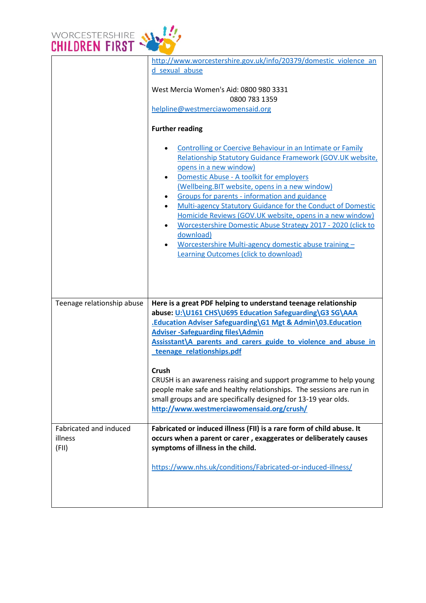

|                            | http://www.worcestershire.gov.uk/info/20379/domestic violence an                                                                                                                                                                                                                                                                                                                                                                                                                                                                                                                                                  |
|----------------------------|-------------------------------------------------------------------------------------------------------------------------------------------------------------------------------------------------------------------------------------------------------------------------------------------------------------------------------------------------------------------------------------------------------------------------------------------------------------------------------------------------------------------------------------------------------------------------------------------------------------------|
|                            | d sexual abuse                                                                                                                                                                                                                                                                                                                                                                                                                                                                                                                                                                                                    |
|                            | West Mercia Women's Aid: 0800 980 3331<br>0800 783 1359<br>helpline@westmerciawomensaid.org                                                                                                                                                                                                                                                                                                                                                                                                                                                                                                                       |
|                            | <b>Further reading</b>                                                                                                                                                                                                                                                                                                                                                                                                                                                                                                                                                                                            |
|                            | <b>Controlling or Coercive Behaviour in an Intimate or Family</b><br>Relationship Statutory Guidance Framework (GOV.UK website,<br>opens in a new window)<br>Domestic Abuse - A toolkit for employers<br>(Wellbeing.BIT website, opens in a new window)<br>Groups for parents - information and guidance<br>Multi-agency Statutory Guidance for the Conduct of Domestic<br>Homicide Reviews (GOV.UK website, opens in a new window)<br>Worcestershire Domestic Abuse Strategy 2017 - 2020 (click to<br>download)<br>Worcestershire Multi-agency domestic abuse training-<br>Learning Outcomes (click to download) |
| Teenage relationship abuse | Here is a great PDF helping to understand teenage relationship<br>abuse: U:\U161 CHS\U695 Education Safeguarding\G3 SG\AAA                                                                                                                                                                                                                                                                                                                                                                                                                                                                                        |
|                            | .Education Adviser Safeguarding\G1 Mgt & Admin\03.Education                                                                                                                                                                                                                                                                                                                                                                                                                                                                                                                                                       |
|                            | <b>Adviser -Safeguarding files\Admin</b>                                                                                                                                                                                                                                                                                                                                                                                                                                                                                                                                                                          |
|                            | Assisstant\A parents and carers guide to violence and abuse in<br>teenage relationships.pdf                                                                                                                                                                                                                                                                                                                                                                                                                                                                                                                       |
|                            |                                                                                                                                                                                                                                                                                                                                                                                                                                                                                                                                                                                                                   |
|                            | Crush                                                                                                                                                                                                                                                                                                                                                                                                                                                                                                                                                                                                             |
|                            | CRUSH is an awareness raising and support programme to help young<br>people make safe and healthy relationships. The sessions are run in                                                                                                                                                                                                                                                                                                                                                                                                                                                                          |
|                            | small groups and are specifically designed for 13-19 year olds.                                                                                                                                                                                                                                                                                                                                                                                                                                                                                                                                                   |
|                            | http://www.westmerciawomensaid.org/crush/                                                                                                                                                                                                                                                                                                                                                                                                                                                                                                                                                                         |
| Fabricated and induced     | Fabricated or induced illness (FII) is a rare form of child abuse. It                                                                                                                                                                                                                                                                                                                                                                                                                                                                                                                                             |
| illness                    | occurs when a parent or carer, exaggerates or deliberately causes                                                                                                                                                                                                                                                                                                                                                                                                                                                                                                                                                 |
| (FII)                      | symptoms of illness in the child.                                                                                                                                                                                                                                                                                                                                                                                                                                                                                                                                                                                 |
|                            | https://www.nhs.uk/conditions/Fabricated-or-induced-illness/                                                                                                                                                                                                                                                                                                                                                                                                                                                                                                                                                      |
|                            |                                                                                                                                                                                                                                                                                                                                                                                                                                                                                                                                                                                                                   |
|                            |                                                                                                                                                                                                                                                                                                                                                                                                                                                                                                                                                                                                                   |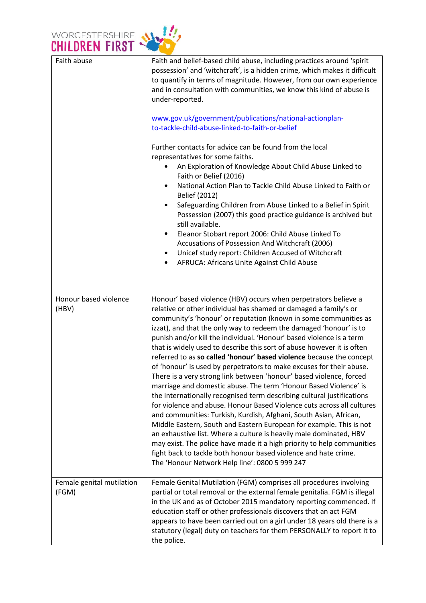

| Faith abuse                        | Faith and belief-based child abuse, including practices around 'spirit<br>possession' and 'witchcraft', is a hidden crime, which makes it difficult<br>to quantify in terms of magnitude. However, from our own experience<br>and in consultation with communities, we know this kind of abuse is<br>under-reported.<br>www.gov.uk/government/publications/national-actionplan-<br>to-tackle-child-abuse-linked-to-faith-or-belief<br>Further contacts for advice can be found from the local<br>representatives for some faiths.<br>An Exploration of Knowledge About Child Abuse Linked to<br>Faith or Belief (2016)<br>National Action Plan to Tackle Child Abuse Linked to Faith or<br>Belief (2012)<br>Safeguarding Children from Abuse Linked to a Belief in Spirit<br>$\bullet$<br>Possession (2007) this good practice guidance is archived but<br>still available.<br>Eleanor Stobart report 2006: Child Abuse Linked To<br>٠<br>Accusations of Possession And Witchcraft (2006)                                                                                                                                                                                                                                                                                                       |
|------------------------------------|-------------------------------------------------------------------------------------------------------------------------------------------------------------------------------------------------------------------------------------------------------------------------------------------------------------------------------------------------------------------------------------------------------------------------------------------------------------------------------------------------------------------------------------------------------------------------------------------------------------------------------------------------------------------------------------------------------------------------------------------------------------------------------------------------------------------------------------------------------------------------------------------------------------------------------------------------------------------------------------------------------------------------------------------------------------------------------------------------------------------------------------------------------------------------------------------------------------------------------------------------------------------------------------------------|
|                                    | Unicef study report: Children Accused of Witchcraft<br>$\bullet$<br>AFRUCA: Africans Unite Against Child Abuse<br>٠                                                                                                                                                                                                                                                                                                                                                                                                                                                                                                                                                                                                                                                                                                                                                                                                                                                                                                                                                                                                                                                                                                                                                                             |
| Honour based violence<br>(HBV)     | Honour' based violence (HBV) occurs when perpetrators believe a<br>relative or other individual has shamed or damaged a family's or<br>community's 'honour' or reputation (known in some communities as<br>izzat), and that the only way to redeem the damaged 'honour' is to<br>punish and/or kill the individual. 'Honour' based violence is a term<br>that is widely used to describe this sort of abuse however it is often<br>referred to as so called 'honour' based violence because the concept<br>of 'honour' is used by perpetrators to make excuses for their abuse.<br>There is a very strong link between 'honour' based violence, forced<br>marriage and domestic abuse. The term 'Honour Based Violence' is<br>the internationally recognised term describing cultural justifications<br>for violence and abuse. Honour Based Violence cuts across all cultures<br>and communities: Turkish, Kurdish, Afghani, South Asian, African,<br>Middle Eastern, South and Eastern European for example. This is not<br>an exhaustive list. Where a culture is heavily male dominated, HBV<br>may exist. The police have made it a high priority to help communities<br>fight back to tackle both honour based violence and hate crime.<br>The 'Honour Network Help line': 0800 5 999 247 |
| Female genital mutilation<br>(FGM) | Female Genital Mutilation (FGM) comprises all procedures involving<br>partial or total removal or the external female genitalia. FGM is illegal<br>in the UK and as of October 2015 mandatory reporting commenced. If<br>education staff or other professionals discovers that an act FGM<br>appears to have been carried out on a girl under 18 years old there is a<br>statutory (legal) duty on teachers for them PERSONALLY to report it to<br>the police.                                                                                                                                                                                                                                                                                                                                                                                                                                                                                                                                                                                                                                                                                                                                                                                                                                  |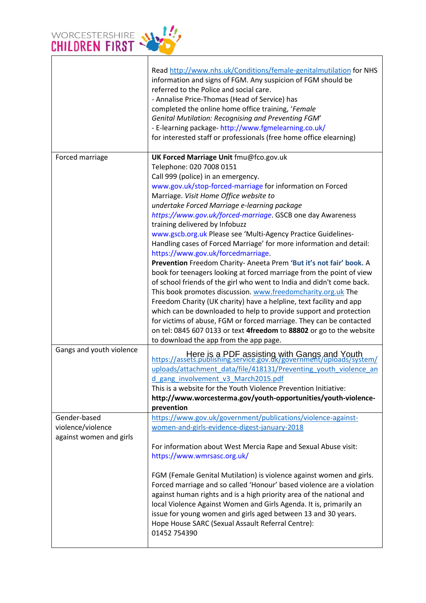

|                          | Read http://www.nhs.uk/Conditions/female-genitalmutilation for NHS<br>information and signs of FGM. Any suspicion of FGM should be<br>referred to the Police and social care.<br>- Annalise Price-Thomas (Head of Service) has<br>completed the online home office training, 'Female<br><b>Genital Mutilation: Recognising and Preventing FGM'</b><br>- E-learning package- http://www.fgmelearning.co.uk/<br>for interested staff or professionals (free home office elearning) |
|--------------------------|----------------------------------------------------------------------------------------------------------------------------------------------------------------------------------------------------------------------------------------------------------------------------------------------------------------------------------------------------------------------------------------------------------------------------------------------------------------------------------|
| Forced marriage          | UK Forced Marriage Unit fmu@fco.gov.uk                                                                                                                                                                                                                                                                                                                                                                                                                                           |
|                          | Telephone: 020 7008 0151                                                                                                                                                                                                                                                                                                                                                                                                                                                         |
|                          | Call 999 (police) in an emergency.                                                                                                                                                                                                                                                                                                                                                                                                                                               |
|                          | www.gov.uk/stop-forced-marriage for information on Forced                                                                                                                                                                                                                                                                                                                                                                                                                        |
|                          | Marriage. Visit Home Office website to                                                                                                                                                                                                                                                                                                                                                                                                                                           |
|                          | undertake Forced Marriage e-learning package                                                                                                                                                                                                                                                                                                                                                                                                                                     |
|                          | https://www.gov.uk/forced-marriage. GSCB one day Awareness                                                                                                                                                                                                                                                                                                                                                                                                                       |
|                          | training delivered by Infobuzz                                                                                                                                                                                                                                                                                                                                                                                                                                                   |
|                          | www.gscb.org.uk Please see 'Multi-Agency Practice Guidelines-                                                                                                                                                                                                                                                                                                                                                                                                                    |
|                          | Handling cases of Forced Marriage' for more information and detail:                                                                                                                                                                                                                                                                                                                                                                                                              |
|                          | https://www.gov.uk/forcedmarriage.                                                                                                                                                                                                                                                                                                                                                                                                                                               |
|                          | Prevention Freedom Charity-Aneeta Prem 'But it's not fair' book. A<br>book for teenagers looking at forced marriage from the point of view                                                                                                                                                                                                                                                                                                                                       |
|                          | of school friends of the girl who went to India and didn't come back.                                                                                                                                                                                                                                                                                                                                                                                                            |
|                          | This book promotes discussion. www.freedomcharity.org.uk The                                                                                                                                                                                                                                                                                                                                                                                                                     |
|                          | Freedom Charity (UK charity) have a helpline, text facility and app                                                                                                                                                                                                                                                                                                                                                                                                              |
|                          | which can be downloaded to help to provide support and protection                                                                                                                                                                                                                                                                                                                                                                                                                |
|                          | for victims of abuse, FGM or forced marriage. They can be contacted                                                                                                                                                                                                                                                                                                                                                                                                              |
|                          | on tel: 0845 607 0133 or text 4freedom to 88802 or go to the website                                                                                                                                                                                                                                                                                                                                                                                                             |
|                          | to download the app from the app page.                                                                                                                                                                                                                                                                                                                                                                                                                                           |
| Gangs and youth violence | Here is a PDF assisting with Gangs and Youth<br>https://assets.publishing.service.gov.dk/government/uploads/system/                                                                                                                                                                                                                                                                                                                                                              |
|                          | uploads/attachment data/file/418131/Preventing youth violence an                                                                                                                                                                                                                                                                                                                                                                                                                 |
|                          | d gang involvement v3 March2015.pdf                                                                                                                                                                                                                                                                                                                                                                                                                                              |
|                          | This is a website for the Youth Violence Prevention Initiative:                                                                                                                                                                                                                                                                                                                                                                                                                  |
|                          | http://www.worcesterma.gov/youth-opportunities/youth-violence-                                                                                                                                                                                                                                                                                                                                                                                                                   |
|                          | prevention                                                                                                                                                                                                                                                                                                                                                                                                                                                                       |
| Gender-based             | https://www.gov.uk/government/publications/violence-against-                                                                                                                                                                                                                                                                                                                                                                                                                     |
| violence/violence        | women-and-girls-evidence-digest-january-2018                                                                                                                                                                                                                                                                                                                                                                                                                                     |
| against women and girls  |                                                                                                                                                                                                                                                                                                                                                                                                                                                                                  |
|                          | For information about West Mercia Rape and Sexual Abuse visit:<br>https://www.wmrsasc.org.uk/                                                                                                                                                                                                                                                                                                                                                                                    |
|                          | FGM (Female Genital Mutilation) is violence against women and girls.<br>Forced marriage and so called 'Honour' based violence are a violation                                                                                                                                                                                                                                                                                                                                    |
|                          | against human rights and is a high priority area of the national and<br>local Violence Against Women and Girls Agenda. It is, primarily an                                                                                                                                                                                                                                                                                                                                       |
|                          | issue for young women and girls aged between 13 and 30 years.                                                                                                                                                                                                                                                                                                                                                                                                                    |
|                          | Hope House SARC (Sexual Assault Referral Centre):                                                                                                                                                                                                                                                                                                                                                                                                                                |
|                          | 01452 754390                                                                                                                                                                                                                                                                                                                                                                                                                                                                     |
|                          |                                                                                                                                                                                                                                                                                                                                                                                                                                                                                  |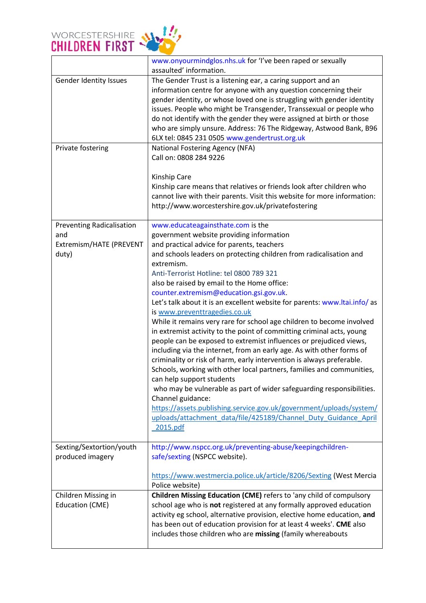

|                                                                             | www.onyourmindglos.nhs.uk for 'I've been raped or sexually<br>assaulted' information.                                                                                                                                                                                                                                                                                                                                                                                                                                                                                                                                                                                                                                                                                                                                                                                                                                                                                                                                                                                                                                                                                                                    |
|-----------------------------------------------------------------------------|----------------------------------------------------------------------------------------------------------------------------------------------------------------------------------------------------------------------------------------------------------------------------------------------------------------------------------------------------------------------------------------------------------------------------------------------------------------------------------------------------------------------------------------------------------------------------------------------------------------------------------------------------------------------------------------------------------------------------------------------------------------------------------------------------------------------------------------------------------------------------------------------------------------------------------------------------------------------------------------------------------------------------------------------------------------------------------------------------------------------------------------------------------------------------------------------------------|
| Gender Identity Issues                                                      | The Gender Trust is a listening ear, a caring support and an<br>information centre for anyone with any question concerning their<br>gender identity, or whose loved one is struggling with gender identity<br>issues. People who might be Transgender, Transsexual or people who<br>do not identify with the gender they were assigned at birth or those<br>who are simply unsure. Address: 76 The Ridgeway, Astwood Bank, B96<br>6LX tel: 0845 231 0505 www.gendertrust.org.uk                                                                                                                                                                                                                                                                                                                                                                                                                                                                                                                                                                                                                                                                                                                          |
| Private fostering                                                           | National Fostering Agency (NFA)<br>Call on: 0808 284 9226<br>Kinship Care<br>Kinship care means that relatives or friends look after children who<br>cannot live with their parents. Visit this website for more information:<br>http://www.worcestershire.gov.uk/privatefostering                                                                                                                                                                                                                                                                                                                                                                                                                                                                                                                                                                                                                                                                                                                                                                                                                                                                                                                       |
| <b>Preventing Radicalisation</b><br>and<br>Extremism/HATE (PREVENT<br>duty) | www.educateagainsthate.com is the<br>government website providing information<br>and practical advice for parents, teachers<br>and schools leaders on protecting children from radicalisation and<br>extremism.<br>Anti-Terrorist Hotline: tel 0800 789 321<br>also be raised by email to the Home office:<br>counter.extremism@education.gsi.gov.uk.<br>Let's talk about it is an excellent website for parents: www.ltai.info/ as<br>is www.preventtragedies.co.uk<br>While it remains very rare for school age children to become involved<br>in extremist activity to the point of committing criminal acts, young<br>people can be exposed to extremist influences or prejudiced views,<br>including via the internet, from an early age. As with other forms of<br>criminality or risk of harm, early intervention is always preferable.<br>Schools, working with other local partners, families and communities,<br>can help support students<br>who may be vulnerable as part of wider safeguarding responsibilities.<br>Channel guidance:<br>https://assets.publishing.service.gov.uk/government/uploads/system/<br>uploads/attachment data/file/425189/Channel Duty Guidance April<br>2015.pdf |
| Sexting/Sextortion/youth<br>produced imagery                                | http://www.nspcc.org.uk/preventing-abuse/keepingchildren-<br>safe/sexting (NSPCC website).<br>https://www.westmercia.police.uk/article/8206/Sexting (West Mercia                                                                                                                                                                                                                                                                                                                                                                                                                                                                                                                                                                                                                                                                                                                                                                                                                                                                                                                                                                                                                                         |
|                                                                             | Police website)                                                                                                                                                                                                                                                                                                                                                                                                                                                                                                                                                                                                                                                                                                                                                                                                                                                                                                                                                                                                                                                                                                                                                                                          |
| Children Missing in<br><b>Education (CME)</b>                               | Children Missing Education (CME) refers to 'any child of compulsory<br>school age who is not registered at any formally approved education<br>activity eg school, alternative provision, elective home education, and<br>has been out of education provision for at least 4 weeks'. CME also<br>includes those children who are missing (family whereabouts                                                                                                                                                                                                                                                                                                                                                                                                                                                                                                                                                                                                                                                                                                                                                                                                                                              |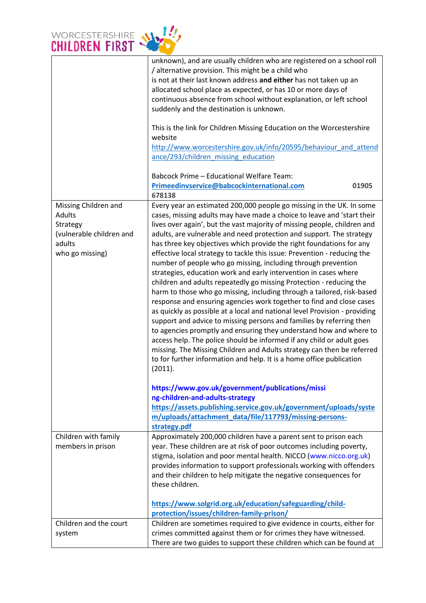

|                          | unknown), and are usually children who are registered on a school roll<br>/ alternative provision. This might be a child who |
|--------------------------|------------------------------------------------------------------------------------------------------------------------------|
|                          |                                                                                                                              |
|                          | is not at their last known address and either has not taken up an                                                            |
|                          | allocated school place as expected, or has 10 or more days of                                                                |
|                          | continuous absence from school without explanation, or left school                                                           |
|                          | suddenly and the destination is unknown.                                                                                     |
|                          | This is the link for Children Missing Education on the Worcestershire                                                        |
|                          | website                                                                                                                      |
|                          | http://www.worcestershire.gov.uk/info/20595/behaviour and attend                                                             |
|                          | ance/293/children missing education                                                                                          |
|                          |                                                                                                                              |
|                          | <b>Babcock Prime - Educational Welfare Team:</b>                                                                             |
|                          | Primeedinvservice@babcockinternational.com<br>01905                                                                          |
|                          | 678138                                                                                                                       |
| Missing Children and     | Every year an estimated 200,000 people go missing in the UK. In some                                                         |
| Adults                   | cases, missing adults may have made a choice to leave and 'start their                                                       |
| Strategy                 | lives over again', but the vast majority of missing people, children and                                                     |
| (vulnerable children and | adults, are vulnerable and need protection and support. The strategy                                                         |
| adults                   | has three key objectives which provide the right foundations for any                                                         |
| who go missing)          | effective local strategy to tackle this issue: Prevention - reducing the                                                     |
|                          | number of people who go missing, including through prevention                                                                |
|                          | strategies, education work and early intervention in cases where                                                             |
|                          | children and adults repeatedly go missing Protection - reducing the                                                          |
|                          | harm to those who go missing, including through a tailored, risk-based                                                       |
|                          | response and ensuring agencies work together to find and close cases                                                         |
|                          | as quickly as possible at a local and national level Provision - providing                                                   |
|                          | support and advice to missing persons and families by referring then                                                         |
|                          | to agencies promptly and ensuring they understand how and where to                                                           |
|                          | access help. The police should be informed if any child or adult goes                                                        |
|                          |                                                                                                                              |
|                          | missing. The Missing Children and Adults strategy can then be referred                                                       |
|                          | to for further information and help. It is a home office publication                                                         |
|                          | (2011).                                                                                                                      |
|                          | https://www.gov.uk/government/publications/missi                                                                             |
|                          | ng-children-and-adults-strategy                                                                                              |
|                          | https://assets.publishing.service.gov.uk/government/uploads/syste                                                            |
|                          | m/uploads/attachment_data/file/117793/missing-persons-                                                                       |
|                          | strategy.pdf                                                                                                                 |
| Children with family     | Approximately 200,000 children have a parent sent to prison each                                                             |
| members in prison        | year. These children are at risk of poor outcomes including poverty,                                                         |
|                          | stigma, isolation and poor mental health. NICCO (www.nicco.org.uk)                                                           |
|                          | provides information to support professionals working with offenders                                                         |
|                          | and their children to help mitigate the negative consequences for                                                            |
|                          | these children.                                                                                                              |
|                          |                                                                                                                              |
|                          | https://www.solgrid.org.uk/education/safeguarding/child-                                                                     |
|                          | protection/issues/children-family-prison/                                                                                    |
| Children and the court   | Children are sometimes required to give evidence in courts, either for                                                       |
| system                   | crimes committed against them or for crimes they have witnessed.                                                             |
|                          | There are two guides to support these children which can be found at                                                         |
|                          |                                                                                                                              |